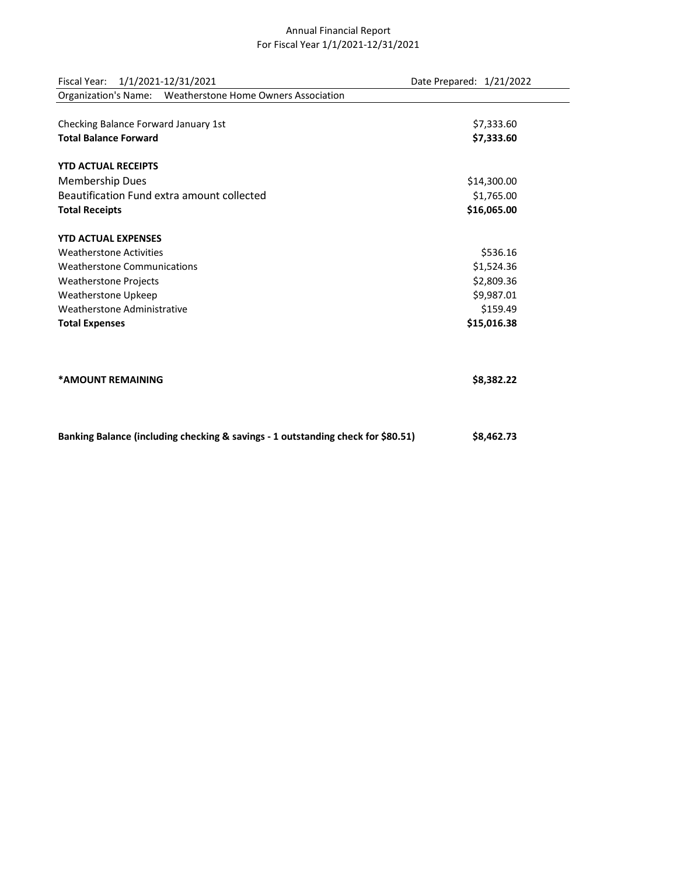## Annual Financial Report For Fiscal Year 1/1/2021-12/31/2021

| Fiscal Year:<br>1/1/2021-12/31/2021                                              | Date Prepared: 1/21/2022 |
|----------------------------------------------------------------------------------|--------------------------|
| Organization's Name: Weatherstone Home Owners Association                        |                          |
|                                                                                  |                          |
| Checking Balance Forward January 1st                                             | \$7,333.60               |
| <b>Total Balance Forward</b>                                                     | \$7,333.60               |
| <b>YTD ACTUAL RECEIPTS</b>                                                       |                          |
| Membership Dues                                                                  | \$14,300.00              |
| Beautification Fund extra amount collected                                       | \$1,765.00               |
| <b>Total Receipts</b>                                                            | \$16,065.00              |
| <b>YTD ACTUAL EXPENSES</b>                                                       |                          |
| <b>Weatherstone Activities</b>                                                   | \$536.16                 |
| <b>Weatherstone Communications</b>                                               | \$1,524.36               |
| <b>Weatherstone Projects</b>                                                     | \$2,809.36               |
| Weatherstone Upkeep                                                              | \$9,987.01               |
| Weatherstone Administrative                                                      | \$159.49                 |
| <b>Total Expenses</b>                                                            | \$15,016.38              |
|                                                                                  |                          |
| *AMOUNT REMAINING                                                                | \$8,382.22               |
|                                                                                  |                          |
| Banking Balance (including checking & savings - 1 outstanding check for \$80.51) | \$8,462.73               |